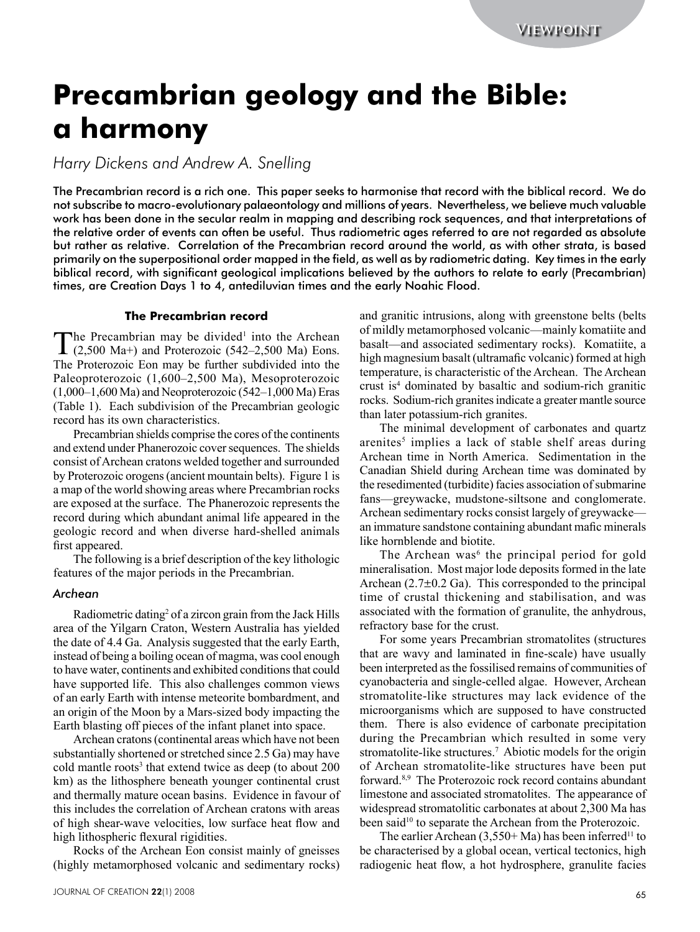# **Precambrian geology and the Bible: a harmony**

*Harry Dickens and Andrew A. Snelling*

**Precommenter determines the control in the control interest of the Bibles Channel Channel Channel Channel Channel Channel Channel Channel Channel Channel Channel Channel Channel Channel Channel Channel Channel Channel Ch** The Precambrian record is a rich one. This paper seeks to harmonise that record with the biblical record. We do not subscribe to macro-evolutionary palaeontology and millions of years. Nevertheless, we believe much valuable work has been done in the secular realm in mapping and describing rock sequences, and that interpretations of the relative order of events can often be useful. Thus radiometric ages referred to are not regarded as absolute but rather as relative. Correlation of the Precambrian record around the world, as with other strata, is based primarily on the superpositional order mapped in the field, as well as by radiometric dating. Key times in the early biblical record, with significant geological implications believed by the authors to relate to early (Precambrian) times, are Creation Days 1 to 4, antediluvian times and the early Noahic Flood.

## **The Precambrian record**

The Precambrian may be divided<sup>1</sup> into the Archean  $(2,500 \text{ Ma+})$  and Proterozoic  $(542-2,500 \text{ Ma})$  Eons. The Precambrian may be divided<sup>1</sup> into the Archean The Proterozoic Eon may be further subdivided into the Paleoproterozoic (1,600–2,500 Ma), Mesoproterozoic  $(1,000-1,600$  Ma) and Neoproterozoic  $(542-1,000$  Ma) Eras (Table 1). Each subdivision of the Precambrian geologic record has its own characteristics.

Precambrian shields comprise the cores of the continents and extend under Phanerozoic cover sequences. The shields consist of Archean cratons welded together and surrounded by Proterozoic orogens (ancient mountain belts). Figure 1 is a map of the world showing areas where Precambrian rocks are exposed at the surface. The Phanerozoic represents the record during which abundant animal life appeared in the geologic record and when diverse hard-shelled animals first appeared.

The following is a brief description of the key lithologic features of the major periods in the Precambrian.

# *Archean*

Radiometric dating<sup>2</sup> of a zircon grain from the Jack Hills area of the Yilgarn Craton, Western Australia has yielded the date of 4.4 Ga. Analysis suggested that the early Earth, instead of being a boiling ocean of magma, was cool enough to have water, continents and exhibited conditions that could have supported life. This also challenges common views of an early Earth with intense meteorite bombardment, and an origin of the Moon by a Mars-sized body impacting the Earth blasting off pieces of the infant planet into space.

Archean cratons (continental areas which have not been substantially shortened or stretched since 2.5 Ga) may have cold mantle roots<sup>3</sup> that extend twice as deep (to about 200 km) as the lithosphere beneath younger continental crust and thermally mature ocean basins. Evidence in favour of this includes the correlation of Archean cratons with areas of high shear-wave velocities, low surface heat flow and high lithospheric flexural rigidities.

Rocks of the Archean Eon consist mainly of gneisses (highly metamorphosed volcanic and sedimentary rocks) and granitic intrusions, along with greenstone belts (belts of mildly metamorphosed volcanic—mainly komatiite and basalt—and associated sedimentary rocks). Komatiite, a high magnesium basalt (ultramafic volcanic) formed at high temperature, is characteristic of the Archean. The Archean crust is4 dominated by basaltic and sodium-rich granitic rocks. Sodium-rich granites indicate a greater mantle source than later potassium-rich granites.

The minimal development of carbonates and quartz arenites<sup>5</sup> implies a lack of stable shelf areas during Archean time in North America. Sedimentation in the Canadian Shield during Archean time was dominated by the resedimented (turbidite) facies association of submarine fans—greywacke, mudstone-siltsone and conglomerate. Archean sedimentary rocks consist largely of greywacke an immature sandstone containing abundant mafic minerals like hornblende and biotite.

The Archean was<sup>6</sup> the principal period for gold mineralisation. Most major lode deposits formed in the late Archean  $(2.7\pm0.2 \text{ Ga})$ . This corresponded to the principal time of crustal thickening and stabilisation, and was associated with the formation of granulite, the anhydrous, refractory base for the crust.

For some years Precambrian stromatolites (structures that are wavy and laminated in fine-scale) have usually been interpreted as the fossilised remains of communities of cyanobacteria and single-celled algae. However, Archean stromatolite-like structures may lack evidence of the microorganisms which are supposed to have constructed them. There is also evidence of carbonate precipitation during the Precambrian which resulted in some very stromatolite-like structures.<sup>7</sup> Abiotic models for the origin of Archean stromatolite-like structures have been put forward.8,9 The Proterozoic rock record contains abundant limestone and associated stromatolites. The appearance of widespread stromatolitic carbonates at about 2,300 Ma has been said<sup>10</sup> to separate the Archean from the Proterozoic.

The earlier Archean  $(3,550+Ma)$  has been inferred<sup>11</sup> to be characterised by a global ocean, vertical tectonics, high radiogenic heat flow, a hot hydrosphere, granulite facies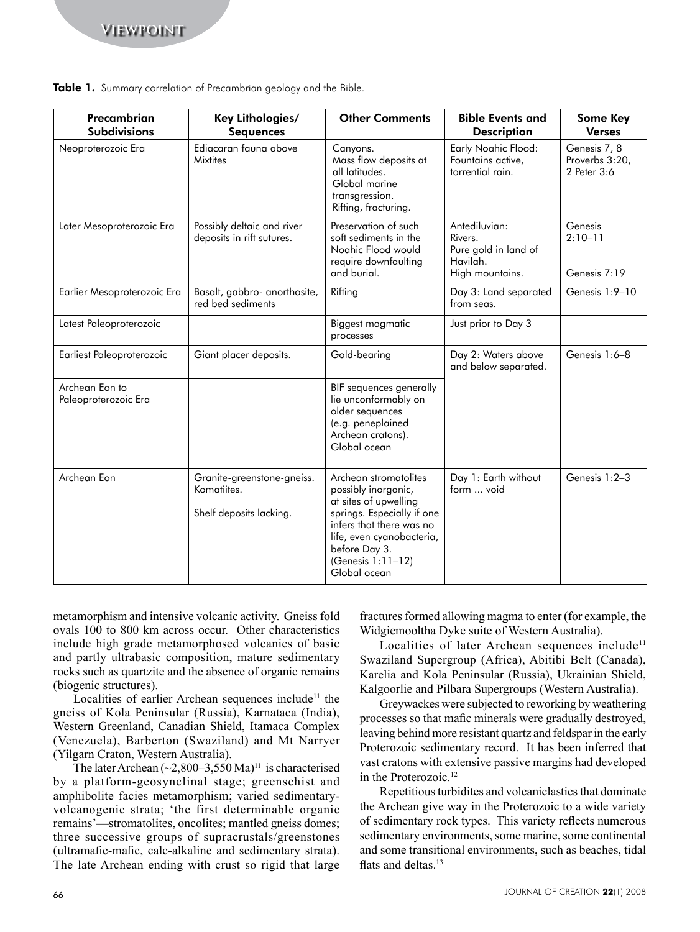| Precambrian                                                    | Table 1. Summary correlation of Precambrian geology and the Bible.<br>Key Lithologies/                                                                                                                                                                                                                                                                                                                                                                                                                                                                                                                                                                                                                                                                                                                                                                                                                                                                                                                                                   | <b>Other Comments</b>                                                                                                                                                                                              | <b>Bible Events and</b>                                                                                                                                                                                                                                                                                                                                                                                                                                                                                                                                                                                                                                                                                                                                                                                                                                                                                                                                                                      | <b>Some Key</b>                                                |
|----------------------------------------------------------------|------------------------------------------------------------------------------------------------------------------------------------------------------------------------------------------------------------------------------------------------------------------------------------------------------------------------------------------------------------------------------------------------------------------------------------------------------------------------------------------------------------------------------------------------------------------------------------------------------------------------------------------------------------------------------------------------------------------------------------------------------------------------------------------------------------------------------------------------------------------------------------------------------------------------------------------------------------------------------------------------------------------------------------------|--------------------------------------------------------------------------------------------------------------------------------------------------------------------------------------------------------------------|----------------------------------------------------------------------------------------------------------------------------------------------------------------------------------------------------------------------------------------------------------------------------------------------------------------------------------------------------------------------------------------------------------------------------------------------------------------------------------------------------------------------------------------------------------------------------------------------------------------------------------------------------------------------------------------------------------------------------------------------------------------------------------------------------------------------------------------------------------------------------------------------------------------------------------------------------------------------------------------------|----------------------------------------------------------------|
| <b>Subdivisions</b><br>Neoproterozoic Era                      | <b>Sequences</b><br>Ediacaran fauna above<br><b>Mixtites</b>                                                                                                                                                                                                                                                                                                                                                                                                                                                                                                                                                                                                                                                                                                                                                                                                                                                                                                                                                                             | Canyons.<br>Mass flow deposits at<br>all latitudes.<br>Global marine<br>transgression.<br>Rifting, fracturing.                                                                                                     | <b>Description</b><br>Early Noahic Flood:<br>Fountains active,<br>torrential rain.                                                                                                                                                                                                                                                                                                                                                                                                                                                                                                                                                                                                                                                                                                                                                                                                                                                                                                           | <b>Verses</b><br>Genesis 7, 8<br>Proverbs 3:20,<br>2 Peter 3:6 |
| Later Mesoproterozoic Era                                      | Possibly deltaic and river<br>deposits in rift sutures.                                                                                                                                                                                                                                                                                                                                                                                                                                                                                                                                                                                                                                                                                                                                                                                                                                                                                                                                                                                  | Preservation of such<br>soft sediments in the<br>Noahic Flood would<br>require downfaulting<br>and burial.                                                                                                         | Antediluvian:<br>Rivers.<br>Pure gold in land of<br>Havilah.<br>High mountains.                                                                                                                                                                                                                                                                                                                                                                                                                                                                                                                                                                                                                                                                                                                                                                                                                                                                                                              | Genesis<br>$2:10-11$<br>Genesis 7:19                           |
| Earlier Mesoproterozoic Era                                    | Basalt, gabbro- anorthosite,<br>red bed sediments                                                                                                                                                                                                                                                                                                                                                                                                                                                                                                                                                                                                                                                                                                                                                                                                                                                                                                                                                                                        | Rifting                                                                                                                                                                                                            | Day 3: Land separated<br>from seas.                                                                                                                                                                                                                                                                                                                                                                                                                                                                                                                                                                                                                                                                                                                                                                                                                                                                                                                                                          | Genesis 1:9-10                                                 |
| Latest Paleoproterozoic                                        |                                                                                                                                                                                                                                                                                                                                                                                                                                                                                                                                                                                                                                                                                                                                                                                                                                                                                                                                                                                                                                          | Biggest magmatic<br>processes                                                                                                                                                                                      | Just prior to Day 3                                                                                                                                                                                                                                                                                                                                                                                                                                                                                                                                                                                                                                                                                                                                                                                                                                                                                                                                                                          |                                                                |
| Earliest Paleoproterozoic                                      | Giant placer deposits.                                                                                                                                                                                                                                                                                                                                                                                                                                                                                                                                                                                                                                                                                                                                                                                                                                                                                                                                                                                                                   | Gold-bearing                                                                                                                                                                                                       | Day 2: Waters above<br>and below separated.                                                                                                                                                                                                                                                                                                                                                                                                                                                                                                                                                                                                                                                                                                                                                                                                                                                                                                                                                  | Genesis 1:6-8                                                  |
| Archean Eon to<br>Paleoproterozoic Era                         |                                                                                                                                                                                                                                                                                                                                                                                                                                                                                                                                                                                                                                                                                                                                                                                                                                                                                                                                                                                                                                          | BIF sequences generally<br>lie unconformably on<br>older sequences<br>(e.g. peneplained<br>Archean cratons).<br>Global ocean                                                                                       |                                                                                                                                                                                                                                                                                                                                                                                                                                                                                                                                                                                                                                                                                                                                                                                                                                                                                                                                                                                              |                                                                |
| Archean Eon                                                    | Granite-greenstone-gneiss.<br>Komatiites.<br>Shelf deposits lacking.                                                                                                                                                                                                                                                                                                                                                                                                                                                                                                                                                                                                                                                                                                                                                                                                                                                                                                                                                                     | Archean stromatolites<br>possibly inorganic,<br>at sites of upwelling<br>springs. Especially if one<br>infers that there was no<br>life, even cyanobacteria,<br>before Day 3.<br>(Genesis 1:11–12)<br>Global ocean | Day 1: Earth without<br>form  void                                                                                                                                                                                                                                                                                                                                                                                                                                                                                                                                                                                                                                                                                                                                                                                                                                                                                                                                                           | Genesis 1:2-3                                                  |
| (biogenic structures).<br>(Yilgarn Craton, Western Australia). | metamorphism and intensive volcanic activity. Gneiss fold<br>ovals 100 to 800 km across occur. Other characteristics<br>include high grade metamorphosed volcanics of basic<br>and partly ultrabasic composition, mature sedimentary<br>rocks such as quartzite and the absence of organic remains<br>Localities of earlier Archean sequences include <sup>11</sup> the<br>gneiss of Kola Peninsular (Russia), Karnataca (India),<br>Western Greenland, Canadian Shield, Itamaca Complex<br>(Venezuela), Barberton (Swaziland) and Mt Narryer<br>The later Archean $(\sim 2,800-3,550 \text{ Ma})^{11}$ is characterised<br>by a platform-geosynclinal stage; greenschist and<br>amphibolite facies metamorphism; varied sedimentary-<br>volcanogenic strata; 'the first determinable organic<br>remains'—stromatolites, oncolites, mantled gneiss domes,<br>three successive groups of supracrustals/greenstones<br>(ultramafic-mafic, calc-alkaline and sedimentary strata).<br>The late Archean ending with crust so rigid that large | in the Proterozoic. <sup>12</sup><br>flats and deltas. <sup>13</sup>                                                                                                                                               | fractures formed allowing magma to enter (for example, the<br>Widgiemooltha Dyke suite of Western Australia).<br>Localities of later Archean sequences include <sup>11</sup><br>Swaziland Supergroup (Africa), Abitibi Belt (Canada),<br>Karelia and Kola Peninsular (Russia), Ukrainian Shield.<br>Kalgoorlie and Pilbara Supergroups (Western Australia).<br>Greywackes were subjected to reworking by weathering<br>processes so that mafic minerals were gradually destroyed,<br>leaving behind more resistant quartz and feldspar in the early<br>Proterozoic sedimentary record. It has been inferred that<br>vast cratons with extensive passive margins had developed<br>Repetitious turbidites and volcaniclastics that dominate<br>the Archean give way in the Proterozoic to a wide variety<br>of sedimentary rock types. This variety reflects numerous<br>sedimentary environments, some marine, some continental<br>and some transitional environments, such as beaches, tidal |                                                                |
|                                                                |                                                                                                                                                                                                                                                                                                                                                                                                                                                                                                                                                                                                                                                                                                                                                                                                                                                                                                                                                                                                                                          |                                                                                                                                                                                                                    |                                                                                                                                                                                                                                                                                                                                                                                                                                                                                                                                                                                                                                                                                                                                                                                                                                                                                                                                                                                              |                                                                |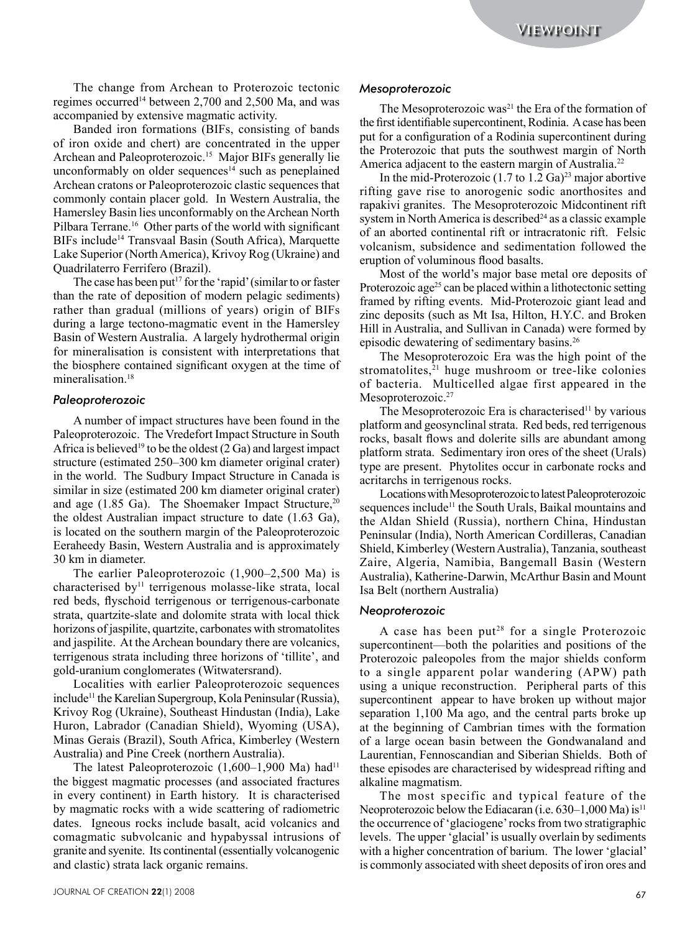The change from Archean to Proterozoic tectonic regimes occurred<sup>14</sup> between 2,700 and 2,500 Ma, and was accompanied by extensive magmatic activity.

Banded iron formations (BIFs, consisting of bands of iron oxide and chert) are concentrated in the upper Archean and Paleoproterozoic.15 Major BIFs generally lie unconformably on older sequences<sup>14</sup> such as peneplained Archean cratons or Paleoproterozoic clastic sequences that commonly contain placer gold. In Western Australia, the Hamersley Basin lies unconformably on the Archean North Pilbara Terrane.<sup>16</sup> Other parts of the world with significant BIFs include14 Transvaal Basin (South Africa), Marquette Lake Superior (North America), Krivoy Rog (Ukraine) and Quadrilaterro Ferrifero (Brazil).

The case has been put<sup>17</sup> for the 'rapid' (similar to or faster than the rate of deposition of modern pelagic sediments) rather than gradual (millions of years) origin of BIFs during a large tectono-magmatic event in the Hamersley Basin of Western Australia. A largely hydrothermal origin for mineralisation is consistent with interpretations that the biosphere contained significant oxygen at the time of mineralisation<sup>18</sup>

### *Paleoproterozoic*

A number of impact structures have been found in the Paleoproterozoic. The Vredefort Impact Structure in South Africa is believed<sup>19</sup> to be the oldest  $(2 Ga)$  and largest impact structure (estimated 250–300 km diameter original crater) in the world. The Sudbury Impact Structure in Canada is similar in size (estimated 200 km diameter original crater) and age  $(1.85 \text{ Ga})$ . The Shoemaker Impact Structure,<sup>20</sup> the oldest Australian impact structure to date (1.63 Ga), is located on the southern margin of the Paleoproterozoic Eeraheedy Basin, Western Australia and is approximately 30 km in diameter.

The earlier Paleoproterozoic (1,900–2,500 Ma) is characterised by<sup>11</sup> terrigenous molasse-like strata, local red beds, flyschoid terrigenous or terrigenous-carbonate strata, quartzite-slate and dolomite strata with local thick horizons of jaspilite, quartzite, carbonates with stromatolites and jaspilite. At the Archean boundary there are volcanics, terrigenous strata including three horizons of 'tillite', and gold-uranium conglomerates (Witwatersrand).

Localities with earlier Paleoproterozoic sequences include<sup>11</sup> the Karelian Supergroup, Kola Peninsular (Russia), Krivoy Rog (Ukraine), Southeast Hindustan (India), Lake Huron, Labrador (Canadian Shield), Wyoming (USA), Minas Gerais (Brazil), South Africa, Kimberley (Western Australia) and Pine Creek (northern Australia).

The latest Paleoproterozoic  $(1,600-1,900 \text{ Ma})$  had<sup>11</sup> the biggest magmatic processes (and associated fractures in every continent) in Earth history. It is characterised by magmatic rocks with a wide scattering of radiometric dates. Igneous rocks include basalt, acid volcanics and comagmatic subvolcanic and hypabyssal intrusions of granite and syenite. Its continental (essentially volcanogenic and clastic) strata lack organic remains.

#### *Mesoproterozoic*

The Mesoproterozoic was<sup>21</sup> the Era of the formation of the first identifiable supercontinent, Rodinia. A case has been put for a configuration of a Rodinia supercontinent during the Proterozoic that puts the southwest margin of North America adjacent to the eastern margin of Australia.<sup>22</sup>

In the mid-Proterozoic  $(1.7 \text{ to } 1.2 \text{ Ga})^{23}$  major abortive rifting gave rise to anorogenic sodic anorthosites and rapakivi granites. The Mesoproterozoic Midcontinent rift system in North America is described<sup>24</sup> as a classic example of an aborted continental rift or intracratonic rift. Felsic volcanism, subsidence and sedimentation followed the eruption of voluminous flood basalts.

Most of the world's major base metal ore deposits of Proterozoic age<sup>25</sup> can be placed within a lithotectonic setting framed by rifting events. Mid-Proterozoic giant lead and zinc deposits (such as Mt Isa, Hilton, H.Y.C. and Broken Hill in Australia, and Sullivan in Canada) were formed by episodic dewatering of sedimentary basins.26

The Mesoproterozoic Era was the high point of the stromatolites, $21$  huge mushroom or tree-like colonies of bacteria. Multicelled algae first appeared in the Mesoproterozoic.<sup>27</sup>

The Mesoproterozoic Era is characterised<sup>11</sup> by various platform and geosynclinal strata. Red beds, red terrigenous rocks, basalt flows and dolerite sills are abundant among platform strata. Sedimentary iron ores of the sheet (Urals) type are present. Phytolites occur in carbonate rocks and acritarchs in terrigenous rocks.

Locations with Mesoproterozoic to latest Paleoproterozoic sequences include<sup>11</sup> the South Urals, Baikal mountains and the Aldan Shield (Russia), northern China, Hindustan Peninsular (India), North American Cordilleras, Canadian Shield, Kimberley (Western Australia), Tanzania, southeast Zaire, Algeria, Namibia, Bangemall Basin (Western Australia), Katherine-Darwin, McArthur Basin and Mount Isa Belt (northern Australia)

#### *Neoproterozoic*

The change from Artistan is Protecovic testoric Metopoletrocoic MESIVEOIS IT<br>
The change from Artistan is Maximum and Protecovic testoric Metopoletrocoic manifestation in English and 2008 Maximum and 2008 Maximum and 2008 A case has been put<sup>28</sup> for a single Proterozoic supercontinent—both the polarities and positions of the Proterozoic paleopoles from the major shields conform to a single apparent polar wandering (APW) path using a unique reconstruction. Peripheral parts of this supercontinent appear to have broken up without major separation 1,100 Ma ago, and the central parts broke up at the beginning of Cambrian times with the formation of a large ocean basin between the Gondwanaland and Laurentian, Fennoscandian and Siberian Shields. Both of these episodes are characterised by widespread rifting and alkaline magmatism.

The most specific and typical feature of the Neoproterozoic below the Ediacaran (i.e.  $630-1,000$  Ma) is<sup>11</sup> the occurrence of 'glaciogene' rocks from two stratigraphic levels. The upper 'glacial' is usually overlain by sediments with a higher concentration of barium. The lower 'glacial' is commonly associated with sheet deposits of iron ores and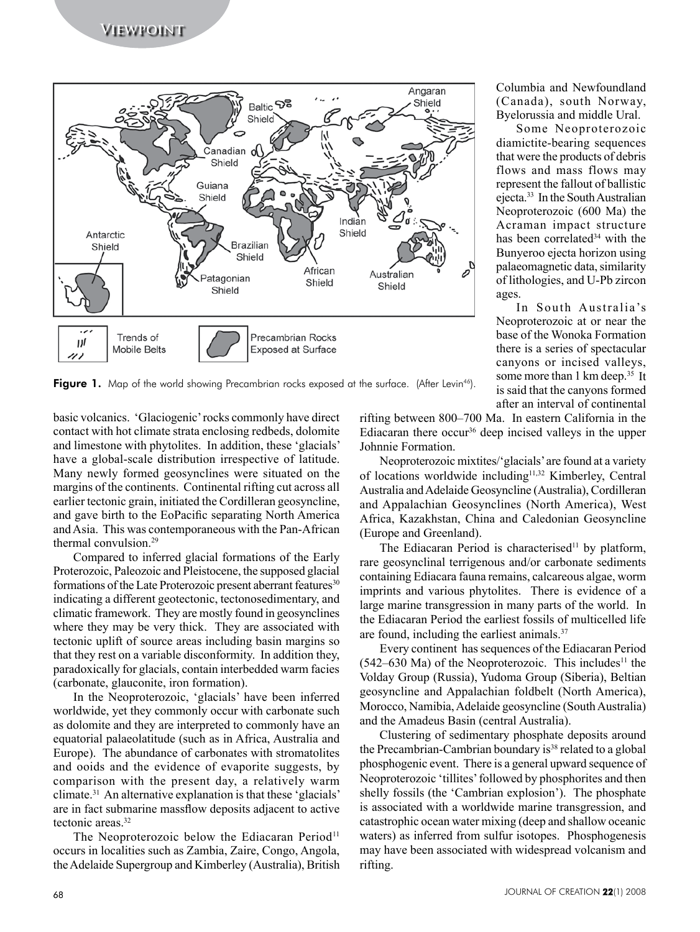

Figure 1. Map of the world showing Precambrian rocks exposed at the surface. (After Levin<sup>46</sup>).

basic volcanics. 'Glaciogenic' rocks commonly have direct contact with hot climate strata enclosing redbeds, dolomite and limestone with phytolites. In addition, these 'glacials' have a global-scale distribution irrespective of latitude. Many newly formed geosynclines were situated on the margins of the continents. Continental rifting cut across all earlier tectonic grain, initiated the Cordilleran geosyncline, and gave birth to the EoPacific separating North America and Asia. This was contemporaneous with the Pan-African thermal convulsion.29

Compared to inferred glacial formations of the Early Proterozoic, Paleozoic and Pleistocene, the supposed glacial formations of the Late Proterozoic present aberrant features<sup>30</sup> indicating a different geotectonic, tectonosedimentary, and climatic framework. They are mostly found in geosynclines where they may be very thick. They are associated with tectonic uplift of source areas including basin margins so that they rest on a variable disconformity. In addition they, paradoxically for glacials, contain interbedded warm facies (carbonate, glauconite, iron formation).

In the Neoproterozoic, 'glacials' have been inferred worldwide, yet they commonly occur with carbonate such as dolomite and they are interpreted to commonly have an equatorial palaeolatitude (such as in Africa, Australia and Europe). The abundance of carbonates with stromatolites and ooids and the evidence of evaporite suggests, by comparison with the present day, a relatively warm climate.31 An alternative explanation is that these 'glacials' are in fact submarine massflow deposits adjacent to active tectonic areas.32

The Neoproterozoic below the Ediacaran Period<sup>11</sup> occurs in localities such as Zambia, Zaire, Congo, Angola, the Adelaide Supergroup and Kimberley (Australia), British rifting between 800–700 Ma. In eastern California in the Ediacaran there occur<sup>36</sup> deep incised valleys in the upper Johnnie Formation.

ages.

Columbia and Newfoundland (Canada), south Norway, Byelorussia and middle Ural. Some Neoproterozoic diamictite-bearing sequences that were the products of debris flows and mass flows may represent the fallout of ballistic ejecta.33 In the South Australian Neoproterozoic (600 Ma) the Acraman impact structure has been correlated<sup>34</sup> with the Bunyeroo ejecta horizon using palaeomagnetic data, similarity of lithologies, and U-Pb zircon

In South Australia's Neoproterozoic at or near the base of the Wonoka Formation there is a series of spectacular canyons or incised valleys, some more than 1 km deep.<sup>35</sup> It is said that the canyons formed after an interval of continental

Neoproterozoic mixtites/'glacials' are found at a variety of locations worldwide including11,32 Kimberley, Central Australia and Adelaide Geosyncline (Australia), Cordilleran and Appalachian Geosynclines (North America), West Africa, Kazakhstan, China and Caledonian Geosyncline (Europe and Greenland).

The Ediacaran Period is characterised<sup>11</sup> by platform, rare geosynclinal terrigenous and/or carbonate sediments containing Ediacara fauna remains, calcareous algae, worm imprints and various phytolites. There is evidence of a large marine transgression in many parts of the world. In the Ediacaran Period the earliest fossils of multicelled life are found, including the earliest animals.37

Every continent has sequences of the Ediacaran Period  $(542–630$  Ma) of the Neoproterozoic. This includes<sup>11</sup> the Volday Group (Russia), Yudoma Group (Siberia), Beltian geosyncline and Appalachian foldbelt (North America), Morocco, Namibia, Adelaide geosyncline (South Australia) and the Amadeus Basin (central Australia).

Clustering of sedimentary phosphate deposits around the Precambrian-Cambrian boundary is<sup>38</sup> related to a global phosphogenic event. There is a general upward sequence of Neoproterozoic 'tillites' followed by phosphorites and then shelly fossils (the 'Cambrian explosion'). The phosphate is associated with a worldwide marine transgression, and catastrophic ocean water mixing (deep and shallow oceanic waters) as inferred from sulfur isotopes. Phosphogenesis may have been associated with widespread volcanism and rifting.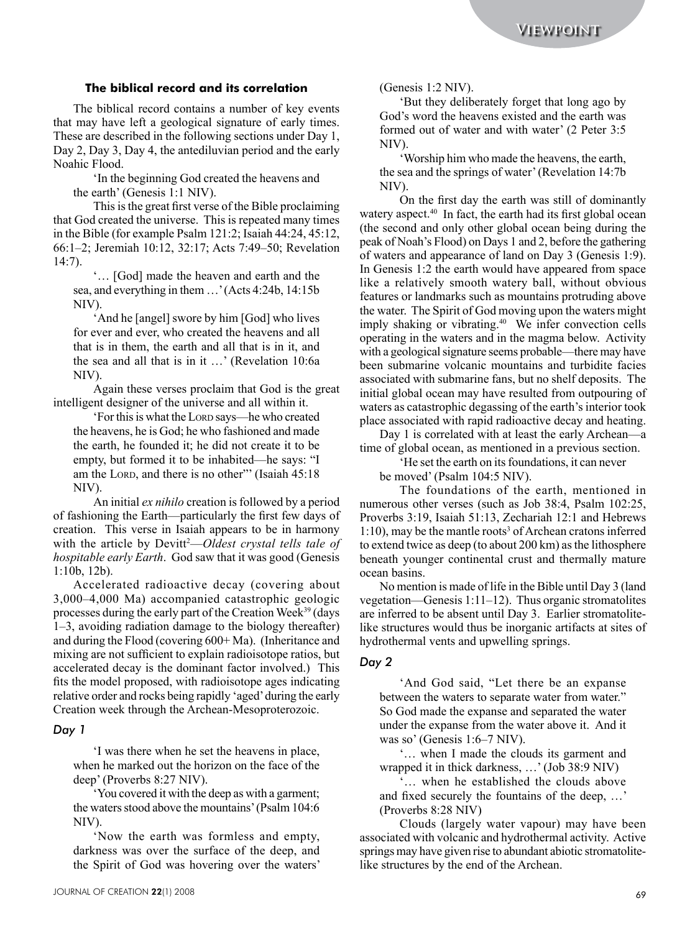### **The biblical record and its correlation**

The biblical record contains a number of key events that may have left a geological signature of early times. These are described in the following sections under Day 1, Day 2, Day 3, Day 4, the antediluvian period and the early Noahic Flood.

'In the beginning God created the heavens and the earth' (Genesis 1:1 NIV).

This is the great first verse of the Bible proclaiming that God created the universe. This is repeated many times in the Bible (for example Psalm 121:2; Isaiah 44:24, 45:12, 66:1–2; Jeremiah 10:12, 32:17; Acts 7:49–50; Revelation 14:7).

'… [God] made the heaven and earth and the sea, and everything in them …' (Acts 4:24b, 14:15b NIV).

'And he [angel] swore by him [God] who lives for ever and ever, who created the heavens and all that is in them, the earth and all that is in it, and the sea and all that is in it …' (Revelation 10:6a NIV).

Again these verses proclaim that God is the great intelligent designer of the universe and all within it.

'For this is what the Lorp says—he who created the heavens, he is God; he who fashioned and made the earth, he founded it; he did not create it to be empty, but formed it to be inhabited—he says: "I am the LORD, and there is no other" (Isaiah 45:18) NIV).

An initial *ex nihilo* creation is followed by a period of fashioning the Earth—particularly the first few days of creation. This verse in Isaiah appears to be in harmony with the article by Devitt<sup>2</sup>—Oldest crystal tells tale of *hospitable early Earth*. God saw that it was good (Genesis 1:10b, 12b).

Accelerated radioactive decay (covering about 3,000–4,000 Ma) accompanied catastrophic geologic processes during the early part of the Creation Week39 (days 1–3, avoiding radiation damage to the biology thereafter) and during the Flood (covering 600+ Ma). (Inheritance and mixing are not sufficient to explain radioisotope ratios, but accelerated decay is the dominant factor involved.) This fits the model proposed, with radioisotope ages indicating relative order and rocks being rapidly 'aged' during the early Creation week through the Archean-Mesoproterozoic.

#### *Day 1*

'I was there when he set the heavens in place, when he marked out the horizon on the face of the deep' (Proverbs 8:27 NIV).

'You covered it with the deep as with a garment; the waters stood above the mountains' (Psalm 104:6 NIV).

'Now the earth was formless and empty, darkness was over the surface of the deep, and the Spirit of God was hovering over the waters' (Genesis 1:2 NIV).

'But they deliberately forget that long ago by God's word the heavens existed and the earth was formed out of water and with water' (2 Peter 3:5 NIV).

'Worship him who made the heavens, the earth, the sea and the springs of water' (Revelation 14:7b NIV).

**The bibliotal record and its correlation**<br>
The application and the correlation (formest 1-2 NIV) consider properties of the main terms of the properties of the main of the properties of the main terms of the main terms o On the first day the earth was still of dominantly watery aspect.<sup>40</sup> In fact, the earth had its first global ocean (the second and only other global ocean being during the peak of Noah's Flood) on Days 1 and 2, before the gathering of waters and appearance of land on Day 3 (Genesis 1:9). In Genesis 1:2 the earth would have appeared from space like a relatively smooth watery ball, without obvious features or landmarks such as mountains protruding above the water. The Spirit of God moving upon the waters might imply shaking or vibrating.<sup>40</sup> We infer convection cells operating in the waters and in the magma below. Activity with a geological signature seems probable—there may have been submarine volcanic mountains and turbidite facies associated with submarine fans, but no shelf deposits. The initial global ocean may have resulted from outpouring of waters as catastrophic degassing of the earth's interior took place associated with rapid radioactive decay and heating.

Day 1 is correlated with at least the early Archean—a time of global ocean, as mentioned in a previous section.

'He set the earth on its foundations, it can never

be moved' (Psalm 104:5 NIV).

The foundations of the earth, mentioned in numerous other verses (such as Job 38:4, Psalm 102:25, Proverbs 3:19, Isaiah 51:13, Zechariah 12:1 and Hebrews 1:10), may be the mantle roots<sup>3</sup> of Archean cratons inferred to extend twice as deep (to about 200 km) as the lithosphere beneath younger continental crust and thermally mature ocean basins.

No mention is made of life in the Bible until Day 3 (land vegetation—Genesis 1:11–12). Thus organic stromatolites are inferred to be absent until Day 3. Earlier stromatolitelike structures would thus be inorganic artifacts at sites of hydrothermal vents and upwelling springs.

# *Day 2*

'And God said, "Let there be an expanse between the waters to separate water from water." So God made the expanse and separated the water under the expanse from the water above it. And it was so' (Genesis 1:6–7 NIV).

'… when I made the clouds its garment and wrapped it in thick darkness, …' (Job 38:9 NIV)

'… when he established the clouds above and fixed securely the fountains of the deep, …' (Proverbs 8:28 NIV)

Clouds (largely water vapour) may have been associated with volcanic and hydrothermal activity. Active springs may have given rise to abundant abiotic stromatolitelike structures by the end of the Archean.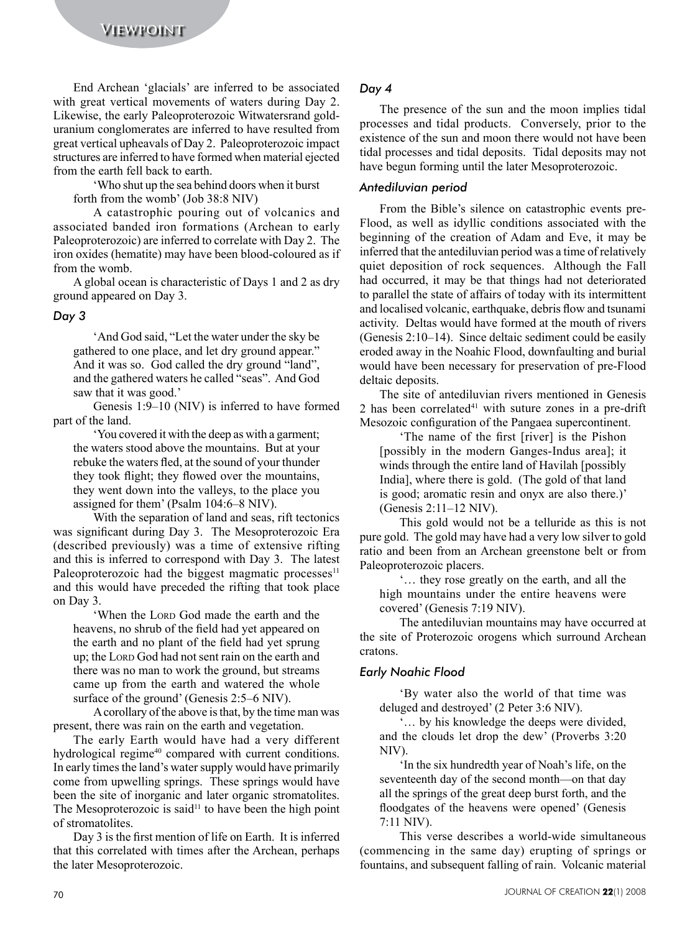End Archean 'glacials' are inferred to be associated with great vertical movements of waters during Day 2. Likewise, the early Paleoproterozoic Witwatersrand golduranium conglomerates are inferred to have resulted from great vertical upheavals of Day 2. Paleoproterozoic impact structures are inferred to have formed when material ejected from the earth fell back to earth.

'Who shut up the sea behind doors when it burst forth from the womb' (Job 38:8 NIV)

A catastrophic pouring out of volcanics and associated banded iron formations (Archean to early Paleoproterozoic) are inferred to correlate with Day 2. The iron oxides (hematite) may have been blood-coloured as if from the womb.

A global ocean is characteristic of Days 1 and 2 as dry ground appeared on Day 3.

# *Day 3*

'And God said, "Let the water under the sky be gathered to one place, and let dry ground appear." And it was so. God called the dry ground "land", and the gathered waters he called "seas". And God saw that it was good.'

Genesis 1:9–10 (NIV) is inferred to have formed part of the land.

'You covered it with the deep as with a garment; the waters stood above the mountains. But at your rebuke the waters fled, at the sound of your thunder they took flight; they flowed over the mountains, they went down into the valleys, to the place you assigned for them' (Psalm 104:6–8 NIV).

With the separation of land and seas, rift tectonics was significant during Day 3. The Mesoproterozoic Era (described previously) was a time of extensive rifting and this is inferred to correspond with Day 3. The latest Paleoproterozoic had the biggest magmatic processes<sup>11</sup> and this would have preceded the rifting that took place on Day 3.

'When the LORD God made the earth and the heavens, no shrub of the field had yet appeared on the earth and no plant of the field had yet sprung up; the Lord God had not sent rain on the earth and there was no man to work the ground, but streams came up from the earth and watered the whole surface of the ground' (Genesis 2:5–6 NIV).

A corollary of the above is that, by the time man was present, there was rain on the earth and vegetation.

The early Earth would have had a very different hydrological regime<sup>40</sup> compared with current conditions. In early times the land's water supply would have primarily come from upwelling springs. These springs would have been the site of inorganic and later organic stromatolites. The Mesoproterozoic is said<sup>11</sup> to have been the high point of stromatolites.

Day 3 is the first mention of life on Earth. It is inferred that this correlated with times after the Archean, perhaps the later Mesoproterozoic.

# *Day 4*

The presence of the sun and the moon implies tidal processes and tidal products. Conversely, prior to the existence of the sun and moon there would not have been tidal processes and tidal deposits. Tidal deposits may not have begun forming until the later Mesoproterozoic.

# *Antediluvian period*

VIEWFOIGHT<br>
The Archaeon "gluidar" are inferred in be available and point of the main discussion in the main discussion in the main discussion in the main discussion in the main discussion of the main discussion in the ma From the Bible's silence on catastrophic events pre-Flood, as well as idyllic conditions associated with the beginning of the creation of Adam and Eve, it may be inferred that the antediluvian period was a time of relatively quiet deposition of rock sequences. Although the Fall had occurred, it may be that things had not deteriorated to parallel the state of affairs of today with its intermittent and localised volcanic, earthquake, debris flow and tsunami activity. Deltas would have formed at the mouth of rivers (Genesis 2:10–14). Since deltaic sediment could be easily eroded away in the Noahic Flood, downfaulting and burial would have been necessary for preservation of pre-Flood deltaic deposits.

The site of antediluvian rivers mentioned in Genesis 2 has been correlated $41$  with suture zones in a pre-drift Mesozoic configuration of the Pangaea supercontinent.

'The name of the first [river] is the Pishon [possibly in the modern Ganges-Indus area]; it winds through the entire land of Havilah [possibly India], where there is gold. (The gold of that land is good; aromatic resin and onyx are also there.)' (Genesis 2:11–12 NIV).

This gold would not be a telluride as this is not pure gold. The gold may have had a very low silver to gold ratio and been from an Archean greenstone belt or from Paleoproterozoic placers.

'… they rose greatly on the earth, and all the high mountains under the entire heavens were covered' (Genesis 7:19 NIV).

The antediluvian mountains may have occurred at the site of Proterozoic orogens which surround Archean cratons.

# *Early Noahic Flood*

'By water also the world of that time was deluged and destroyed' (2 Peter 3:6 NIV).

'… by his knowledge the deeps were divided, and the clouds let drop the dew' (Proverbs 3:20 NIV).

'In the six hundredth year of Noah's life, on the seventeenth day of the second month—on that day all the springs of the great deep burst forth, and the floodgates of the heavens were opened' (Genesis 7:11 NIV).

This verse describes a world-wide simultaneous (commencing in the same day) erupting of springs or fountains, and subsequent falling of rain. Volcanic material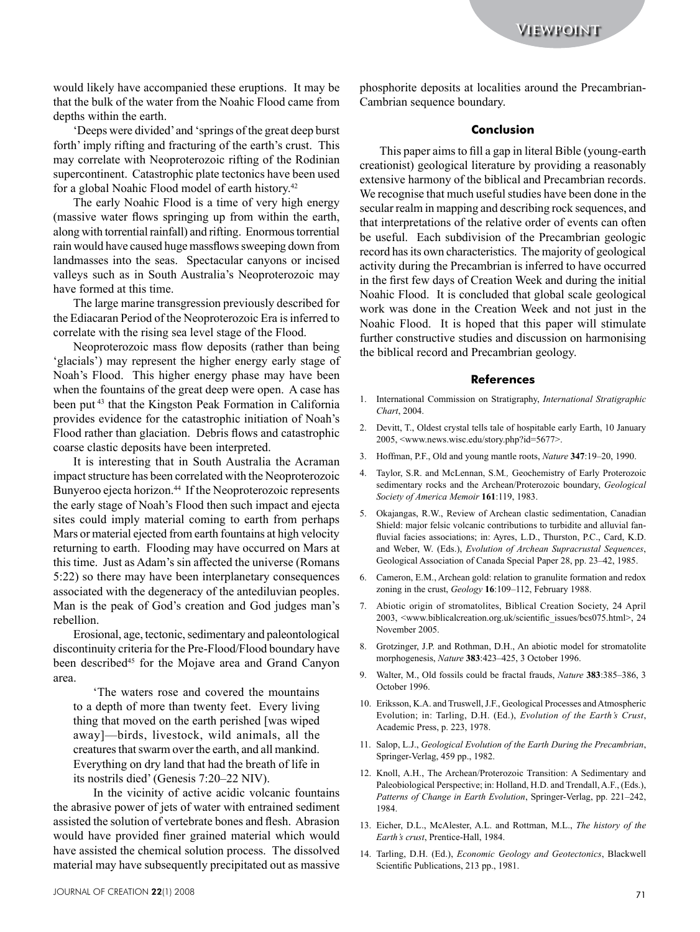would likely have accompanied these eruptions. It may be that the bulk of the water from the Noahic Flood came from depths within the earth.

'Deeps were divided' and 'springs of the great deep burst forth' imply rifting and fracturing of the earth's crust. This may correlate with Neoproterozoic rifting of the Rodinian supercontinent. Catastrophic plate tectonics have been used for a global Noahic Flood model of earth history.<sup>42</sup>

The early Noahic Flood is a time of very high energy (massive water flows springing up from within the earth, along with torrential rainfall) and rifting. Enormous torrential rain would have caused huge massflows sweeping down from landmasses into the seas. Spectacular canyons or incised valleys such as in South Australia's Neoproterozoic may have formed at this time.

The large marine transgression previously described for the Ediacaran Period of the Neoproterozoic Era is inferred to correlate with the rising sea level stage of the Flood.

Neoproterozoic mass flow deposits (rather than being 'glacials') may represent the higher energy early stage of Noah's Flood. This higher energy phase may have been when the fountains of the great deep were open. A case has been put 43 that the Kingston Peak Formation in California provides evidence for the catastrophic initiation of Noah's Flood rather than glaciation. Debris flows and catastrophic coarse clastic deposits have been interpreted.

It is interesting that in South Australia the Acraman impact structure has been correlated with the Neoproterozoic Bunyeroo ejecta horizon.<sup>44</sup> If the Neoproterozoic represents the early stage of Noah's Flood then such impact and ejecta sites could imply material coming to earth from perhaps Mars or material ejected from earth fountains at high velocity returning to earth. Flooding may have occurred on Mars at this time. Just as Adam's sin affected the universe (Romans 5:22) so there may have been interplanetary consequences associated with the degeneracy of the antediluvian peoples. Man is the peak of God's creation and God judges man's rebellion.

Erosional, age, tectonic, sedimentary and paleontological discontinuity criteria for the Pre-Flood/Flood boundary have been described<sup>45</sup> for the Mojave area and Grand Canyon area.

'The waters rose and covered the mountains to a depth of more than twenty feet. Every living thing that moved on the earth perished [was wiped away]—birds, livestock, wild animals, all the creatures that swarm over the earth, and all mankind. Everything on dry land that had the breath of life in its nostrils died' (Genesis 7:20–22 NIV).

In the vicinity of active acidic volcanic fountains the abrasive power of jets of water with entrained sediment assisted the solution of vertebrate bones and flesh. Abrasion would have provided finer grained material which would have assisted the chemical solution process. The dissolved material may have subsequently precipitated out as massive phosphorite deposits at localities around the Precambrian-Cambrian sequence boundary.

#### **Conclusion**

VERY (FIST) Are ancompanied these exprises through schemation disperses the properties of the CM (FIST) and the CM (FIST) and the CM (FIST) and the CM (FIST) and the CM (FIST) and the CM (FIST) and the CM (FIST) and the C This paper aims to fill a gap in literal Bible (young-earth creationist) geological literature by providing a reasonably extensive harmony of the biblical and Precambrian records. We recognise that much useful studies have been done in the secular realm in mapping and describing rock sequences, and that interpretations of the relative order of events can often be useful. Each subdivision of the Precambrian geologic record has its own characteristics. The majority of geological activity during the Precambrian is inferred to have occurred in the first few days of Creation Week and during the initial Noahic Flood. It is concluded that global scale geological work was done in the Creation Week and not just in the Noahic Flood. It is hoped that this paper will stimulate further constructive studies and discussion on harmonising the biblical record and Precambrian geology.

#### **References**

- 1. International Commission on Stratigraphy, *International Stratigraphic Chart*, 2004.
- 2. Devitt, T., Oldest crystal tells tale of hospitable early Earth, 10 January 2005, <www.news.wisc.edu/story.php?id=5677>.
- 3. Hoffman, P.F., Old and young mantle roots, *Nature* **347**:19–20, 1990.
- 4. Taylor, S.R. and McLennan, S.M*.,* Geochemistry of Early Proterozoic sedimentary rocks and the Archean/Proterozoic boundary, *Geological Society of America Memoir* **161**:119, 1983.
- 5. Okajangas, R.W., Review of Archean clastic sedimentation, Canadian Shield: major felsic volcanic contributions to turbidite and alluvial fanfluvial facies associations; in: Ayres, L.D., Thurston, P.C., Card, K.D. and Weber, W. (Eds.), *Evolution of Archean Supracrustal Sequences*, Geological Association of Canada Special Paper 28, pp. 23–42, 1985.
- 6. Cameron, E.M., Archean gold: relation to granulite formation and redox zoning in the crust, *Geology* **16**:109–112, February 1988.
- 7. Abiotic origin of stromatolites, Biblical Creation Society, 24 April 2003, <www.biblicalcreation.org.uk/scientific\_issues/bcs075.html>, 24 November 2005.
- 8. Grotzinger, J.P. and Rothman, D.H., An abiotic model for stromatolite morphogenesis, *Nature* **383**:423–425, 3 October 1996.
- 9. Walter, M., Old fossils could be fractal frauds, *Nature* **383**:385–386, 3 October 1996.
- 10. Eriksson, K.A. and Truswell, J.F., Geological Processes and Atmospheric Evolution; in: Tarling, D.H. (Ed.), *Evolution of the Earth's Crust*, Academic Press, p. 223, 1978.
- 11. Salop, L.J., *Geological Evolution of the Earth During the Precambrian*, Springer-Verlag, 459 pp., 1982.
- 12. Knoll, A.H., The Archean/Proterozoic Transition: A Sedimentary and Paleobiological Perspective; in: Holland, H.D. and Trendall, A.F., (Eds.), *Patterns of Change in Earth Evolution*, Springer-Verlag, pp. 221–242, 1984.
- 13. Eicher, D.L., McAlester, A.L. and Rottman, M.L., *The history of the Earth's crust*, Prentice-Hall, 1984.
- 14. Tarling, D.H. (Ed.), *Economic Geology and Geotectonics*, Blackwell Scientific Publications, 213 pp., 1981.